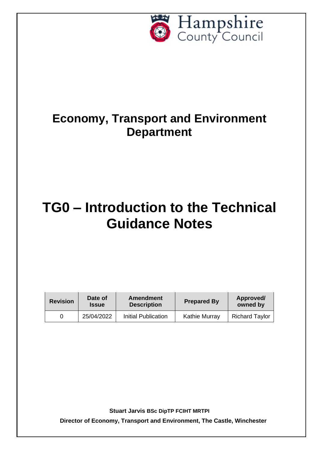

# **Economy, Transport and Environment Department**

# **TG0 – Introduction to the Technical Guidance Notes**

| <b>Revision</b> | Date of<br><b>Issue</b> | Amendment<br><b>Description</b> | <b>Prepared By</b>   | Approved/<br>owned by |
|-----------------|-------------------------|---------------------------------|----------------------|-----------------------|
|                 | 25/04/2022              | Initial Publication             | <b>Kathie Murray</b> | <b>Richard Taylor</b> |

**Stuart Jarvis BSc DipTP FCIHT MRTPI**

**Director of Economy, Transport and Environment, The Castle, Winchester**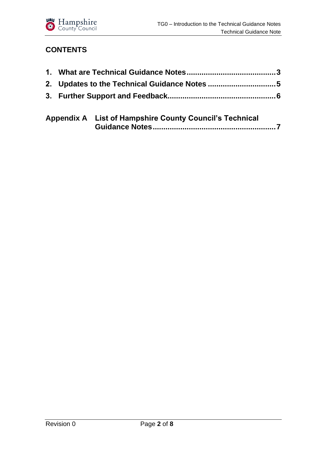

#### **CONTENTS**

| $\mathbf{A}$ is a set of the set of the set of the set of the set of the set of the set of the set of the set of the set of the set of the set of the set of the set of the set of the set of the set of the set of the set of th |
|-----------------------------------------------------------------------------------------------------------------------------------------------------------------------------------------------------------------------------------|

| Appendix A List of Hampshire County Council's Technical |
|---------------------------------------------------------|
|                                                         |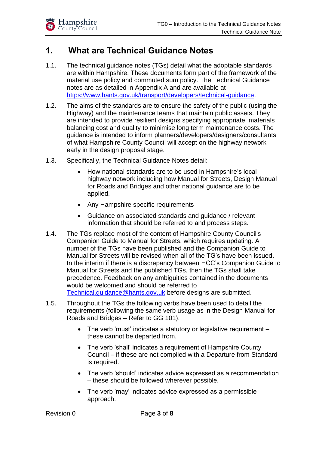

### <span id="page-2-0"></span>**1. What are Technical Guidance Notes**

- 1.1. The technical guidance notes (TGs) detail what the adoptable standards are within Hampshire. These documents form part of the framework of the material use policy and commuted sum policy. The Technical Guidance notes are as detailed in Appendix A and are available at [https://www.hants.gov.uk/transport/developers/technical-guidance.](https://www.hants.gov.uk/transport/developers/technical-guidance)
- 1.2. The aims of the standards are to ensure the safety of the public (using the Highway) and the maintenance teams that maintain public assets. They are intended to provide resilient designs specifying appropriate materials balancing cost and quality to minimise long term maintenance costs. The guidance is intended to inform planners/developers/designers/consultants of what Hampshire County Council will accept on the highway network early in the design proposal stage.
- 1.3. Specifically, the Technical Guidance Notes detail:
	- How national standards are to be used in Hampshire's local highway network including how Manual for Streets, Design Manual for Roads and Bridges and other national guidance are to be applied.
	- Any Hampshire specific requirements
	- Guidance on associated standards and guidance / relevant information that should be referred to and process steps.
- 1.4. The TGs replace most of the content of Hampshire County Council's Companion Guide to Manual for Streets, which requires updating. A number of the TGs have been published and the Companion Guide to Manual for Streets will be revised when all of the TG's have been issued. In the interim if there is a discrepancy between HCC's Companion Guide to Manual for Streets and the published TGs, then the TGs shall take precedence. Feedback on any ambiguities contained in the documents would be welcomed and should be referred to Technical.quidance@hants.gov.uk before designs are submitted.
- 1.5. Throughout the TGs the following verbs have been used to detail the requirements (following the same verb usage as in the Design Manual for Roads and Bridges – Refer to GG 101).
	- The verb 'must' indicates a statutory or legislative requirement these cannot be departed from.
	- The verb 'shall' indicates a requirement of Hampshire County Council – if these are not complied with a Departure from Standard is required.
	- The verb 'should' indicates advice expressed as a recommendation – these should be followed wherever possible.
	- The verb 'may' indicates advice expressed as a permissible approach.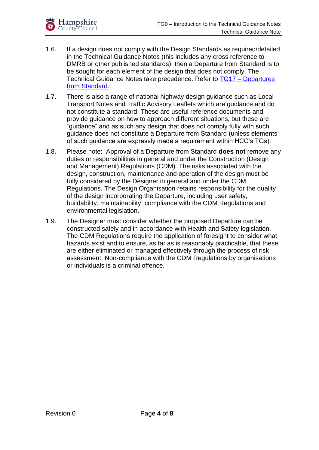

- 1.6. If a design does not comply with the Design Standards as required/detailed in the Technical Guidance Notes (this includes any cross reference to DMRB or other published standards), then a Departure from Standard is to be sought for each element of the design that does not comply. The Technical Guidance Notes take precedence. Refer to TG17 – [Departures](https://documents.hants.gov.uk/transport/TG17TechnicalGuidanceNote-DeparturesfromStandard.pdf)  [from Standard.](https://documents.hants.gov.uk/transport/TG17TechnicalGuidanceNote-DeparturesfromStandard.pdf)
- 1.7. There is also a range of national highway design guidance such as Local Transport Notes and Traffic Advisory Leaflets which are guidance and do not constitute a standard. These are useful reference documents and provide guidance on how to approach different situations, but these are "guidance" and as such any design that does not comply fully with such guidance does not constitute a Departure from Standard (unless elements of such guidance are expressly made a requirement within HCC's TGs).
- 1.8. Please note: Approval of a Departure from Standard **does not** remove any duties or responsibilities in general and under the Construction (Design and Management) Regulations (CDM). The risks associated with the design, construction, maintenance and operation of the design must be fully considered by the Designer in general and under the CDM Regulations. The Design Organisation retains responsibility for the quality of the design incorporating the Departure, including user safety, buildability, maintainability, compliance with the CDM Regulations and environmental legislation.
- 1.9. The Designer must consider whether the proposed Departure can be constructed safely and in accordance with Health and Safety legislation. The CDM Regulations require the application of foresight to consider what hazards exist and to ensure, as far as is reasonably practicable, that these are either eliminated or managed effectively through the process of risk assessment. Non-compliance with the CDM Regulations by organisations or individuals is a criminal offence.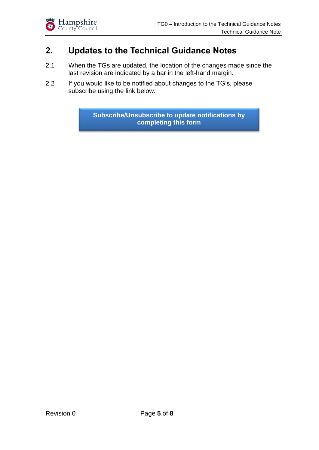#### <span id="page-4-0"></span>**2. Updates to the Technical Guidance Notes**

- 2.1 When the TGs are updated, the location of the changes made since the last revision are indicated by a bar in the left-hand margin.
- 2.2 If you would like to be notified about changes to the TG's, please subscribe using the link below.

**[Subscribe/Unsubscribe](https://forms.office.com/Pages/ResponsePage.aspx?id=tdiBPwfuF0yGnB20OQGNm661z4X5ihhApacH58zbnRlUNlAwMjNOMTBMRVVPNUhHMVVWVThESldCMiQlQCN0PWcu) to update notifications by completing this form**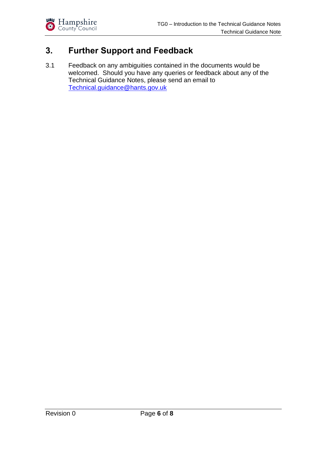

## <span id="page-5-0"></span>**3. Further Support and Feedback**

3.1 Feedback on any ambiguities contained in the documents would be welcomed. Should you have any queries or feedback about any of the Technical Guidance Notes, please send an email to [Technical.guidance@hants.gov.uk](mailto:Technical.guidance@hants.gov.uk)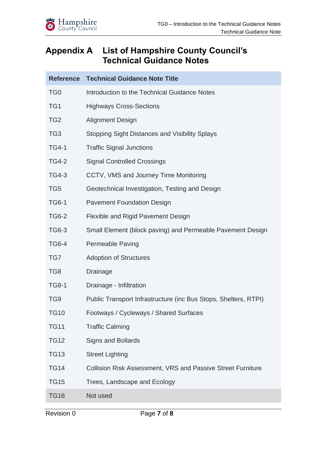#### <span id="page-6-0"></span>**Appendix A List of Hampshire County Council's Technical Guidance Notes**

| <b>Reference</b> | <b>Technical Guidance Note Title</b>                               |
|------------------|--------------------------------------------------------------------|
| TG <sub>0</sub>  | Introduction to the Technical Guidance Notes                       |
| TG1              | <b>Highways Cross-Sections</b>                                     |
| TG <sub>2</sub>  | <b>Alignment Design</b>                                            |
| TG <sub>3</sub>  | <b>Stopping Sight Distances and Visibility Splays</b>              |
| <b>TG4-1</b>     | <b>Traffic Signal Junctions</b>                                    |
| <b>TG4-2</b>     | <b>Signal Controlled Crossings</b>                                 |
| <b>TG4-3</b>     | CCTV, VMS and Journey Time Monitoring                              |
| TG <sub>5</sub>  | Geotechnical Investigation, Testing and Design                     |
| <b>TG6-1</b>     | <b>Pavement Foundation Design</b>                                  |
| <b>TG6-2</b>     | Flexible and Rigid Pavement Design                                 |
| <b>TG6-3</b>     | Small Element (block paving) and Permeable Pavement Design         |
| <b>TG6-4</b>     | <b>Permeable Paving</b>                                            |
| TG7              | <b>Adoption of Structures</b>                                      |
| TG <sub>8</sub>  | <b>Drainage</b>                                                    |
| <b>TG8-1</b>     | Drainage - Infiltration                                            |
| TG <sub>9</sub>  | Public Transport Infrastructure (inc Bus Stops, Shelters, RTPI)    |
| <b>TG10</b>      | Footways / Cycleways / Shared Surfaces                             |
| <b>TG11</b>      | <b>Traffic Calming</b>                                             |
| <b>TG12</b>      | <b>Signs and Bollards</b>                                          |
| <b>TG13</b>      | <b>Street Lighting</b>                                             |
| <b>TG14</b>      | <b>Collision Risk Assessment, VRS and Passive Street Furniture</b> |
| <b>TG15</b>      | Trees, Landscape and Ecology                                       |
| <b>TG16</b>      | Not used                                                           |
|                  |                                                                    |